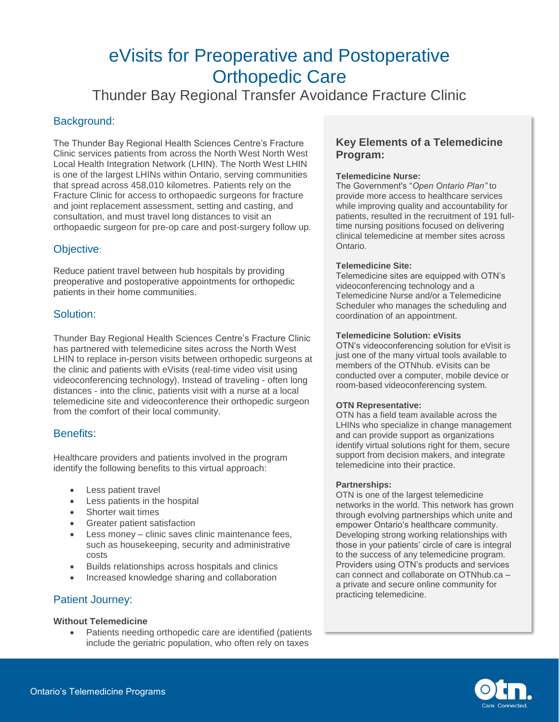# eVisits for Preoperative and Postoperative Orthopedic Care

Thunder Bay Regional Transfer Avoidance Fracture Clinic

# Background:

The Thunder Bay Regional Health Sciences Centre's Fracture Clinic services patients from across the North West North West Local Health Integration Network (LHIN). The North West LHIN is one of the largest LHINs within Ontario, serving communities that spread across 458,010 kilometres. Patients rely on the Fracture Clinic for access to orthopaedic surgeons for fracture and joint replacement assessment, setting and casting, and consultation, and must travel long distances to visit an orthopaedic surgeon for pre-op care and post-surgery follow up.

# Objective:

Reduce patient travel between hub hospitals by providing preoperative and postoperative appointments for orthopedic patients in their home communities.

# Solution:

Thunder Bay Regional Health Sciences Centre's Fracture Clinic has partnered with telemedicine sites across the North West LHIN to replace in-person visits between orthopedic surgeons at the clinic and patients with eVisits (real-time video visit using videoconferencing technology). Instead of traveling - often long distances - into the clinic, patients visit with a nurse at a local telemedicine site and videoconference their orthopedic surgeon from the comfort of their local community.

# Benefits:

Healthcare providers and patients involved in the program identify the following benefits to this virtual approach:

- Less patient travel
- Less patients in the hospital
- Shorter wait times
- Greater patient satisfaction
- Less money clinic saves clinic maintenance fees, such as housekeeping, security and administrative costs
- Builds relationships across hospitals and clinics
- Increased knowledge sharing and collaboration

# Patient Journey:

#### **Without Telemedicine**

 Patients needing orthopedic care are identified (patients include the geriatric population, who often rely on taxes

# **Key Elements of a Telemedicine Program:**

#### **Telemedicine Nurse:**

The Government's "*Open Ontario Plan"* to provide more access to healthcare services while improving quality and accountability for patients, resulted in the recruitment of 191 fulltime nursing positions focused on delivering clinical telemedicine at member sites across Ontario.

#### **Telemedicine Site:**

Telemedicine sites are equipped with OTN's videoconferencing technology and a Telemedicine Nurse and/or a Telemedicine Scheduler who manages the scheduling and coordination of an appointment.

#### **Telemedicine Solution: eVisits**

OTN's videoconferencing solution for eVisit is just one of the many virtual tools available to members of the OTNhub. eVisits can be conducted over a computer, mobile device or room-based videoconferencing system.

#### **OTN Representative:**

OTN has a field team available across the LHINs who specialize in change management and can provide support as organizations identify virtual solutions right for them, secure support from decision makers, and integrate telemedicine into their practice.

#### **Partnerships:**

OTN is one of the largest telemedicine networks in the world. This network has grown through evolving partnerships which unite and empower Ontario's healthcare community. Developing strong working relationships with those in your patients' circle of care is integral to the success of any telemedicine program. Providers using OTN's products and services can connect and collaborate on OTNhub.ca – a private and secure online community for practicing telemedicine.

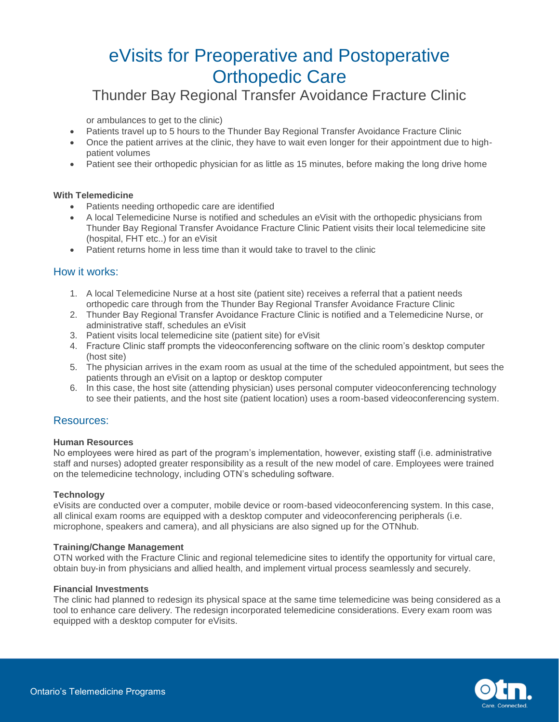# eVisits for Preoperative and Postoperative Orthopedic Care

# Thunder Bay Regional Transfer Avoidance Fracture Clinic

or ambulances to get to the clinic)

- Patients travel up to 5 hours to the Thunder Bay Regional Transfer Avoidance Fracture Clinic
- Once the patient arrives at the clinic, they have to wait even longer for their appointment due to highpatient volumes
- Patient see their orthopedic physician for as little as 15 minutes, before making the long drive home

#### **With Telemedicine**

- Patients needing orthopedic care are identified
- A local Telemedicine Nurse is notified and schedules an eVisit with the orthopedic physicians from Thunder Bay Regional Transfer Avoidance Fracture Clinic Patient visits their local telemedicine site (hospital, FHT etc..) for an eVisit
- Patient returns home in less time than it would take to travel to the clinic

### How it works:

- 1. A local Telemedicine Nurse at a host site (patient site) receives a referral that a patient needs orthopedic care through from the Thunder Bay Regional Transfer Avoidance Fracture Clinic
- 2. Thunder Bay Regional Transfer Avoidance Fracture Clinic is notified and a Telemedicine Nurse, or administrative staff, schedules an eVisit
- 3. Patient visits local telemedicine site (patient site) for eVisit
- 4. Fracture Clinic staff prompts the videoconferencing software on the clinic room's desktop computer (host site)
- 5. The physician arrives in the exam room as usual at the time of the scheduled appointment, but sees the patients through an eVisit on a laptop or desktop computer
- 6. In this case, the host site (attending physician) uses personal computer videoconferencing technology to see their patients, and the host site (patient location) uses a room-based videoconferencing system.

#### Resources:

#### **Human Resources**

No employees were hired as part of the program's implementation, however, existing staff (i.e. administrative staff and nurses) adopted greater responsibility as a result of the new model of care. Employees were trained on the telemedicine technology, including OTN's scheduling software.

#### **Technology**

[eVisits](https://otnhub.ca/patient-care/evisit-pc/) are conducted over a computer, mobile device or room-based videoconferencing system. In this case, all clinical exam rooms are equipped with a desktop computer and videoconferencing peripherals (i.e. microphone, speakers and camera), and all physicians are also signed up for the OTNhub.

#### **Training/Change Management**

OTN worked with the Fracture Clinic and regional telemedicine sites to identify the opportunity for virtual care, obtain buy-in from physicians and allied health, and implement virtual process seamlessly and securely.

#### **Financial Investments**

The clinic had planned to redesign its physical space at the same time telemedicine was being considered as a tool to enhance care delivery. The redesign incorporated telemedicine considerations. Every exam room was equipped with a desktop computer for eVisits.